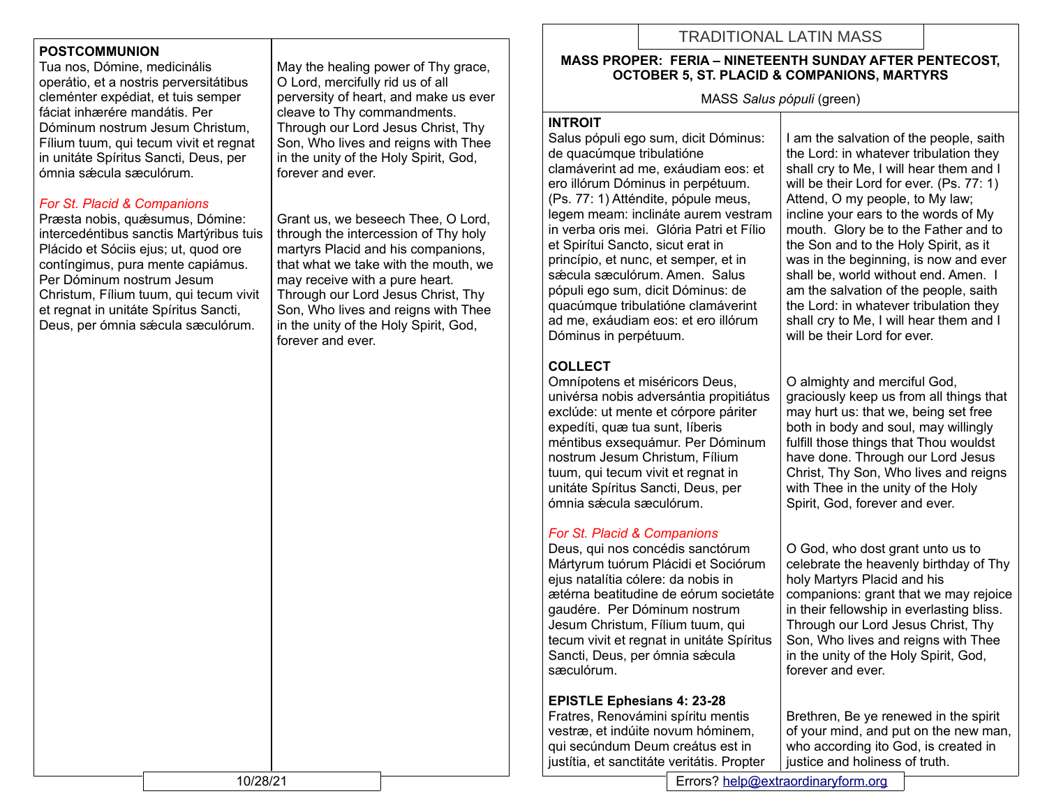## **POSTCOMMUNION**

Tua nos, Dómine, medicinális operátio, et a nostris perversitátibus cleménter expédiat, et tuis semper fáciat inhærére mandátis. Per Dóminum nostrum Jesum Christum, Fílium tuum, qui tecum vivit et regnat in unitáte Spíritus Sancti, Deus, per ómnia sǽcula sæculórum.

### *For St. Placid & Companions*

Præsta nobis, quæsumus, Dómine: intercedéntibus sanctis Martýribus tuis Plácido et Sóciis ejus; ut, quod ore contíngimus, pura mente capiámus. Per Dóminum nostrum Jesum Christum, Fílium tuum, qui tecum vivit et regnat in unitáte Spíritus Sancti, Deus, per ómnia sǽcula sæculórum.

May the healing power of Thy grace, O Lord, mercifully rid us of all perversity of heart, and make us ever cleave to Thy commandments. Through our Lord Jesus Christ, Thy Son, Who lives and reigns with Thee in the unity of the Holy Spirit, God, forever and ever.

Grant us, we beseech Thee, O Lord, through the intercession of Thy holy martyrs Placid and his companions, that what we take with the mouth, we may receive with a pure heart. Through our Lord Jesus Christ, Thy Son, Who lives and reigns with Thee in the unity of the Holy Spirit, God, forever and ever.

# TRADITIONAL LATIN MASS

### **MASS PROPER: FERIA – NINETEENTH SUNDAY AFTER PENTECOST, OCTOBER 5, ST. PLACID & COMPANIONS, MARTYRS**

MASS *Salus pópuli* (green)

#### **INTROIT**

Salus pópuli ego sum, dicit Dóminus: de quacúmque tribulatióne clamáverint ad me, exáudiam eos: et ero illórum Dóminus in perpétuum. (Ps. 77: 1) Atténdite, pópule meus, legem meam: inclináte aurem vestram in verba oris mei. Glória Patri et Fílio et Spirítui Sancto, sicut erat in princípio, et nunc, et semper, et in sæcula sæculórum. Amen. Salus pópuli ego sum, dicit Dóminus: de quacúmque tribulatióne clamáverint ad me, exáudiam eos: et ero illórum Dóminus in perpétuum.

# **COLLECT**

Omnípotens et miséricors Deus, univérsa nobis adversántia propitiátus exclúde: ut mente et córpore páriter expedíti, quæ tua sunt, Iíberis méntibus exsequámur. Per Dóminum nostrum Jesum Christum, Fílium tuum, qui tecum vivit et regnat in unitáte Spíritus Sancti, Deus, per ómnia sǽcula sæculórum.

## *For St. Placid & Companions*

Deus, qui nos concédis sanctórum Mártyrum tuórum Plácidi et Sociórum ejus natalítia cólere: da nobis in ætérna beatitudine de eórum societáte gaudére. Per Dóminum nostrum Jesum Christum, Fílium tuum, qui tecum vivit et regnat in unitáte Spíritus Sancti, Deus, per ómnia sæcula sæculórum.

## **EPISTLE Ephesians 4: 23-28**

Fratres, Renovámini spíritu mentis vestræ, et indúite novum hóminem, qui secúndum Deum creátus est in justítia, et sanctitáte veritátis. Propter

I am the salvation of the people, saith the Lord: in whatever tribulation they shall cry to Me, I will hear them and I will be their Lord for ever. (Ps. 77: 1) Attend, O my people, to My law; incline your ears to the words of My mouth. Glory be to the Father and to the Son and to the Holy Spirit, as it was in the beginning, is now and ever shall be, world without end. Amen. I am the salvation of the people, saith the Lord: in whatever tribulation they shall cry to Me, I will hear them and I will be their Lord for ever.

O almighty and merciful God, graciously keep us from all things that may hurt us: that we, being set free both in body and soul, may willingly fulfill those things that Thou wouldst have done. Through our Lord Jesus Christ, Thy Son, Who lives and reigns with Thee in the unity of the Holy Spirit, God, forever and ever.

O God, who dost grant unto us to celebrate the heavenly birthday of Thy holy Martyrs Placid and his companions: grant that we may rejoice in their fellowship in everlasting bliss. Through our Lord Jesus Christ, Thy Son, Who lives and reigns with Thee in the unity of the Holy Spirit, God, forever and ever.

Brethren, Be ye renewed in the spirit of your mind, and put on the new man, who according ito God, is created in justice and holiness of truth.